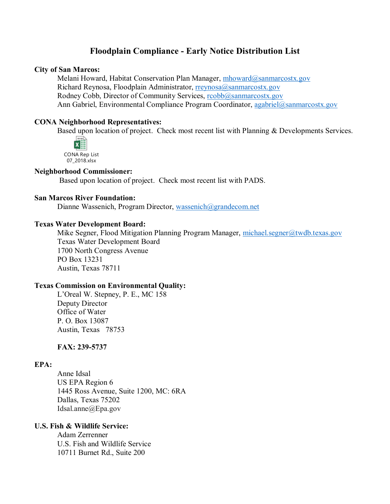# **Floodplain Compliance - Early Notice Distribution List**

#### **City of San Marcos:**

Melani Howard, Habitat Conservation Plan Manager, [mhoward@sanmarcostx.gov](mailto:mhoward@sanmarcostx.gov) Richard Reynosa, Floodplain Administrator, [rreynosa@sanmarcostx.gov](mailto:rreynosa@sanmarcostx.gov) Rodney Cobb, Director of Community Services, [rcobb@sanmarcostx.gov](mailto:rcobb@sanmarcostx.gov) Ann Gabriel, Environmental Compliance Program Coordinator, [agabriel@sanmarcostx.gov](mailto:agabriel@sanmarcostx.gov)

### **CONA Neighborhood Representatives:**

Based upon location of project. Check most recent list with Planning & Developments Services.



### **Neighborhood Commissioner:**

Based upon location of project. Check most recent list with PADS.

#### **San Marcos River Foundation:**

Dianne Wassenich, Program Director, [wassenich@grandecom.net](mailto:wassenich@grandecom.net)

## **Texas Water Development Board:**

Mike Segner, Flood Mitigation Planning Program Manager, [michael.segner@twdb.texas.gov](mailto:michael.segner@twdb.texas.gov) Texas Water Development Board 1700 North Congress Avenue PO Box 13231 Austin, Texas 78711

#### **Texas Commission on Environmental Quality:**

L'Oreal W. Stepney, P. E., MC 158 Deputy Director Office of Water P. O. Box 13087 Austin, Texas 78753

## **FAX: 239-5737**

## **EPA:**

Anne Idsal US EPA Region 6 1445 Ross Avenue, Suite 1200, MC: 6RA Dallas, Texas 75202 Idsal.anne@Epa.gov

## **U.S. Fish & Wildlife Service:**

Adam Zerrenner U.S. Fish and Wildlife Service 10711 Burnet Rd., Suite 200